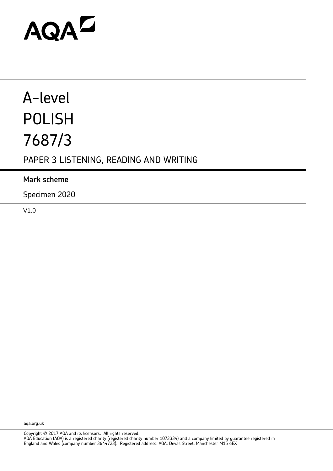# AQAD

# A-level POLISH 7687/3

# PAPER 3 LISTENING, READING AND WRITING

### **Mark scheme**

Specimen 2020

V1.0

aqa.org.uk

Copyright © 2017 AQA and its licensors. All rights reserved.

AQA Education (AQA) is a registered charity (registered charity number 1073334) and a company limited by guarantee registered in England and Wales (company number 3644723). Registered address: AQA, Devas Street, Manchester M15 6EX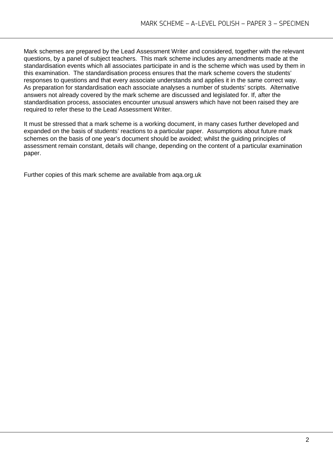Mark schemes are prepared by the Lead Assessment Writer and considered, together with the relevant questions, by a panel of subject teachers. This mark scheme includes any amendments made at the standardisation events which all associates participate in and is the scheme which was used by them in this examination. The standardisation process ensures that the mark scheme covers the students' responses to questions and that every associate understands and applies it in the same correct way. As preparation for standardisation each associate analyses a number of students' scripts. Alternative answers not already covered by the mark scheme are discussed and legislated for. If, after the standardisation process, associates encounter unusual answers which have not been raised they are required to refer these to the Lead Assessment Writer.

It must be stressed that a mark scheme is a working document, in many cases further developed and expanded on the basis of students' reactions to a particular paper. Assumptions about future mark schemes on the basis of one year's document should be avoided; whilst the guiding principles of assessment remain constant, details will change, depending on the content of a particular examination paper.

Further copies of this mark scheme are available from aqa.org.uk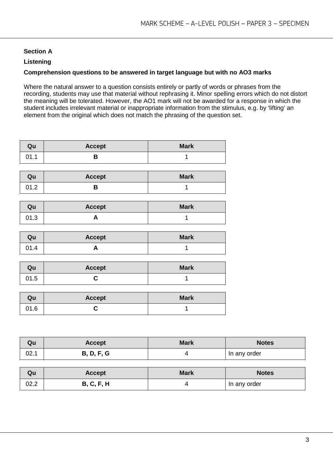#### **Section A**

#### **Listening**

#### **Comprehension questions to be answered in target language but with no AO3 marks**

Where the natural answer to a question consists entirely or partly of words or phrases from the recording, students may use that material without rephrasing it. Minor spelling errors which do not distort the meaning will be tolerated. However, the AO1 mark will not be awarded for a response in which the student includes irrelevant material or inappropriate information from the stimulus, e.g. by 'lifting' an element from the original which does not match the phrasing of the question set.

| Qu   | <b>Accept</b> | <b>Mark</b> |
|------|---------------|-------------|
| 01.1 |               |             |

| Qu   | <b>Accept</b> | <b>Mark</b> |
|------|---------------|-------------|
| 01.2 |               |             |

| Qu   | <b>Accept</b> | <b>Mark</b> |
|------|---------------|-------------|
| 01.3 |               |             |

| Qu   | <b>Accept</b> | <b>Mark</b> |
|------|---------------|-------------|
| 71.4 |               |             |

| Qu   | <b>Accept</b> | <b>Mark</b> |
|------|---------------|-------------|
| 01.5 |               |             |

| Qu   | <b>Accept</b> | <b>Mark</b> |
|------|---------------|-------------|
| 01.6 |               |             |

| Qu   | <b>Accept</b>     | <b>Mark</b> | <b>Notes</b> |
|------|-------------------|-------------|--------------|
| 02.1 | <b>B, D, F, G</b> |             | In any order |

| Qu   | <b>Accept</b>     | <b>Mark</b> | <b>Notes</b> |
|------|-------------------|-------------|--------------|
| 02.2 | <b>B, C, F, H</b> |             | In any order |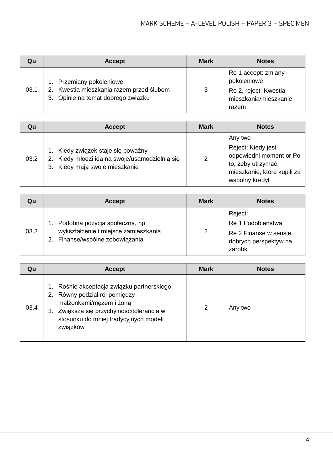| Qu   | <b>Accept</b>                                                                                              | <b>Mark</b> | <b>Notes</b>                                                                                  |
|------|------------------------------------------------------------------------------------------------------------|-------------|-----------------------------------------------------------------------------------------------|
| 03.1 | 1. Przemiany pokoleniowe<br>2. Kwestia mieszkania razem przed ślubem<br>3. Opinie na temat dobrego związku | 3           | Re 1 accept: zmiany<br>pokoleniowe<br>Re 2, reject: Kwestia<br>mieszkania/mieszkanie<br>razem |

| Qu   | <b>Accept</b>                                                                                                          | <b>Mark</b>   | <b>Notes</b>                                                                                                                   |
|------|------------------------------------------------------------------------------------------------------------------------|---------------|--------------------------------------------------------------------------------------------------------------------------------|
| 03.2 | 1. Kiedy związek staje się poważny<br>2. Kiedy młodzi idą na swoje/usamodzielnią się<br>3. Kiedy mają swoje mieszkanie | $\mathcal{P}$ | Any two<br>Reject: Kiedy jest<br>odpowiedni moment or Po<br>to, żeby utrzymać<br>mieszkanie, które kupili za<br>wspólny kredyt |

| Qu   | <b>Accept</b>                                                                                             | <b>Mark</b> | <b>Notes</b>                                                                              |
|------|-----------------------------------------------------------------------------------------------------------|-------------|-------------------------------------------------------------------------------------------|
| 03.3 | Podobna pozycja społeczna, np.<br>wykształcenie i miejsce zamieszkania<br>2. Finanse/wspólne zobowiązania | 2           | Reject:<br>Re 1 Podobieństwa<br>Re 2 Finanse w sensie<br>dobrych perspektyw na<br>zarobki |

| Qu   | <b>Accept</b>                                                                                                                                                                                         | <b>Mark</b> | <b>Notes</b> |
|------|-------------------------------------------------------------------------------------------------------------------------------------------------------------------------------------------------------|-------------|--------------|
| 03.4 | Rośnie akceptacja związku partnerskiego<br>Równy podział ról pomiędzy<br>małżonkami/mężem i żoną<br>Zwiększa się przychylność/tolerancja w<br>3.<br>stosunku do mniej tradycyjnych modeli<br>związków | 2           | Any two      |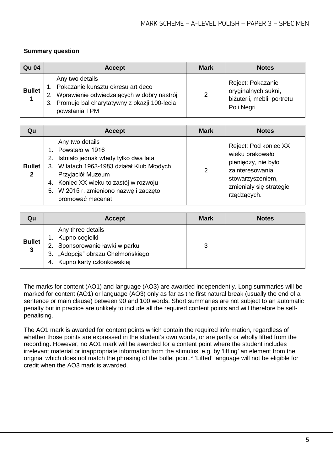#### **Summary question**

| <b>Qu 04</b>  | <b>Accept</b>                                                                                                                                                              | <b>Mark</b> | <b>Notes</b>                                                                         |
|---------------|----------------------------------------------------------------------------------------------------------------------------------------------------------------------------|-------------|--------------------------------------------------------------------------------------|
| <b>Bullet</b> | Any two details<br>1. Pokazanie kunsztu okresu art deco<br>2. Wprawienie odwiedzających w dobry nastrój<br>3. Promuje bal charytatywny z okazji 100-lecia<br>powstania TPM | 2           | Reject: Pokazanie<br>oryginalnych sukni,<br>biżuterii, mebli, portretu<br>Poli Negri |

| Qu                            | <b>Accept</b>                                                                                                                                                                                                                                                  | <b>Mark</b> | <b>Notes</b>                                                                                                                                     |
|-------------------------------|----------------------------------------------------------------------------------------------------------------------------------------------------------------------------------------------------------------------------------------------------------------|-------------|--------------------------------------------------------------------------------------------------------------------------------------------------|
| <b>Bullet</b><br>$\mathbf{2}$ | Any two details<br>1. Powstało w 1916<br>Istniało jednak wtedy tylko dwa lata<br>2.<br>3. W latach 1963-1983 działał Klub Młodych<br>Przyjaciół Muzeum<br>4. Koniec XX wieku to zastój w rozwoju<br>5. W 2015 r. zmieniono nazwę i zaczęto<br>promować mecenat | 2           | Reject: Pod koniec XX<br>wieku brakowało<br>pieniędzy, nie było<br>zainteresowania<br>stowarzyszeniem,<br>zmieniały się strategie<br>rządzących. |

| Qu                            | <b>Accept</b>                                                                                                                                 | <b>Mark</b> | <b>Notes</b> |
|-------------------------------|-----------------------------------------------------------------------------------------------------------------------------------------------|-------------|--------------|
| <b>Bullet</b><br>$\mathbf{3}$ | Any three details<br>1. Kupno cegiełki<br>2. Sponsorowanie ławki w parku<br>3. "Adopcja" obrazu Chełmońskiego<br>4. Kupno karty członkowskiej | 3           |              |

The marks for content (AO1) and language (AO3) are awarded independently. Long summaries will be marked for content (AO1) or language (AO3) only as far as the first natural break (usually the end of a sentence or main clause) between 90 and 100 words. Short summaries are not subject to an automatic penalty but in practice are unlikely to include all the required content points and will therefore be selfpenalising.

The AO1 mark is awarded for content points which contain the required information, regardless of whether those points are expressed in the student's own words, or are partly or wholly lifted from the recording. However, no AO1 mark will be awarded for a content point where the student includes irrelevant material or inappropriate information from the stimulus, e.g. by 'lifting' an element from the original which does not match the phrasing of the bullet point.\* 'Lifted' language will not be eligible for credit when the AO3 mark is awarded.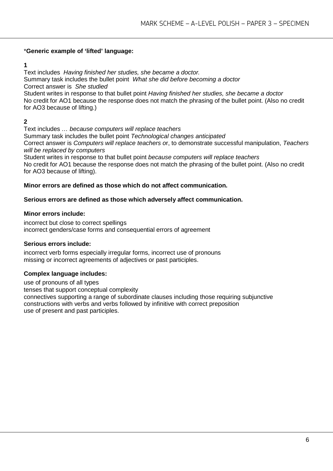#### \***Generic example of 'lifted' language:**

#### **1**

Text includes *Having finished her studies, she became a doctor.* Summary task includes the bullet point *What she did before becoming a doctor* Correct answer is *She studied* Student writes in response to that bullet point *Having finished her studies, she became a doctor* No credit for AO1 because the response does not match the phrasing of the bullet point. (Also no credit for AO3 because of lifting.)

**2**

Text includes *… because computers will replace teachers* Summary task includes the bullet point *Technological changes anticipated* Correct answer is *Computers will replace teachers o*r, to demonstrate successful manipulation, *Teachers will be replaced by computers*

Student writes in response to that bullet point *because computers will replace teachers* No credit for AO1 because the response does not match the phrasing of the bullet point. (Also no credit for AO3 because of lifting).

#### **Minor errors are defined as those which do not affect communication.**

#### **Serious errors are defined as those which adversely affect communication.**

#### **Minor errors include:**

incorrect but close to correct spellings incorrect genders/case forms and consequential errors of agreement

#### **Serious errors include:**

incorrect verb forms especially irregular forms, incorrect use of pronouns missing or incorrect agreements of adjectives or past participles.

#### **Complex language includes:**

use of pronouns of all types tenses that support conceptual complexity connectives supporting a range of subordinate clauses including those requiring subjunctive constructions with verbs and verbs followed by infinitive with correct preposition use of present and past participles.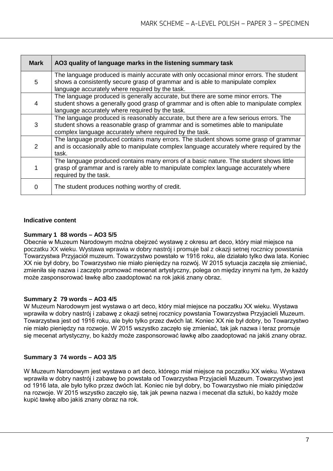| <b>Mark</b>   | AO3 quality of language marks in the listening summary task                                                                                                                                                                         |
|---------------|-------------------------------------------------------------------------------------------------------------------------------------------------------------------------------------------------------------------------------------|
| 5             | The language produced is mainly accurate with only occasional minor errors. The student<br>shows a consistently secure grasp of grammar and is able to manipulate complex<br>language accurately where required by the task.        |
| 4             | The language produced is generally accurate, but there are some minor errors. The<br>student shows a generally good grasp of grammar and is often able to manipulate complex<br>language accurately where required by the task.     |
| 3             | The language produced is reasonably accurate, but there are a few serious errors. The<br>student shows a reasonable grasp of grammar and is sometimes able to manipulate<br>complex language accurately where required by the task. |
| $\mathcal{P}$ | The language produced contains many errors. The student shows some grasp of grammar<br>and is occasionally able to manipulate complex language accurately where required by the<br>task.                                            |
|               | The language produced contains many errors of a basic nature. The student shows little<br>grasp of grammar and is rarely able to manipulate complex language accurately where<br>required by the task.                              |
| 0             | The student produces nothing worthy of credit.                                                                                                                                                                                      |

#### **Indicative content**

#### **Summary 1 88 words – AO3 5/5**

Obecnie w Muzeum Narodowym można obejrzeć wystawę z okresu art deco, który miał miejsce na poczatku XX wieku. Wystawa wprawia w dobry nastrój i promuje bal z okazji setnej rocznicy powstania Towarzystwa Przyjaciół muzeum. Towarzystwo powstało w 1916 roku, ale działało tylko dwa lata. Koniec XX nie był dobry, bo Towarzystwo nie miało pieniędzy na rozwój. W 2015 sytuacja zaczęła się zmieniać, zmieniła się nazwa i zaczęto promować mecenat artystyczny, polega on między innymi na tym, że każdy może zasponsorować ławkę albo zaadoptować na rok jakiś znany obraz.

#### **Summary 2 79 words – AO3 4/5**

W Muzeum Narodowym jest wystawa o art deco, który miał miejsce na poczatku XX wieku. Wystawa wprawiła w dobry nastrój i zabawę z okazji setnej rocznicy powstania Towarzystwa Przyjacieli Muzeum. Towarzystwa jest od 1916 roku, ale było tylko przez dwóch lat. Koniec XX nie był dobry, bo Towarzystwo nie miało pieniędzy na rozwoje. W 2015 wszystko zaczęło się zmieniać, tak jak nazwa i teraz promuje się mecenat artystyczny, bo każdy może zasponsorować ławkę albo zaadoptować na jakiś znany obraz.

#### **Summary 3 74 words – AO3 3/5**

W Muzeum Narodowym jest wystawa o art deco, którego miał miejsce na poczatku XX wieku. Wystawa wprawiła w dobry nastrój i zabawę bo powstała od Towarzystwa Przyjacieli Muzeum. Towarzystwo jest od 1916 lata, ale było tylko przez dwóch lat. Koniec nie był dobry, bo Towarzystwo nie miało piniędzów na rozwoje. W 2015 wszystko zaczęło się, tak jak pewna nazwa i mecenat dla sztuki, bo każdy może kupić ławkę albo jakiś znany obraz na rok.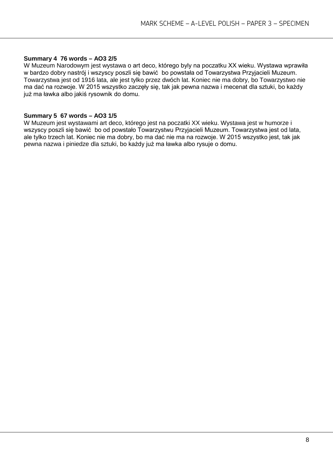#### **Summary 4 76 words – AO3 2/5**

W Muzeum Narodowym jest wystawa o art deco, którego byly na poczatku XX wieku. Wystawa wprawiła w bardzo dobry nastrój i wszyscy poszli się bawić bo powstała od Towarzystwa Przyjacieli Muzeum. Towarzystwa jest od 1916 lata, ale jest tylko przez dwóch lat. Koniec nie ma dobry, bo Towarzystwo nie ma dać na rozwoje. W 2015 wszystko zaczęły się, tak jak pewna nazwa i mecenat dla sztuki, bo każdy już ma ławka albo jakiś rysownik do domu.

#### **Summary 5 67 words – AO3 1/5**

W Muzeum jest wystawami art deco, którego jest na poczatki XX wieku. Wystawa jest w humorze i wszyscy poszli się bawić bo od powstało Towarzystwu Przyjacieli Muzeum. Towarzystwa jest od lata, ale tylko trzech lat. Koniec nie ma dobry, bo ma dać nie ma na rozwoje. W 2015 wszystko jest, tak jak pewna nazwa i piniedze dla sztuki, bo każdy już ma ławka albo rysuje o domu.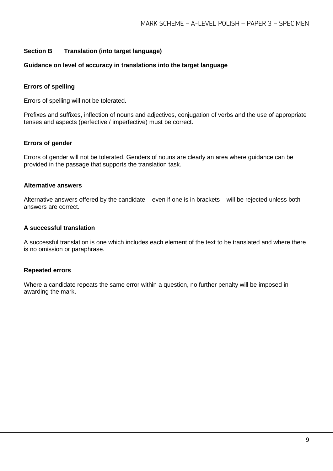#### **Section B Translation (into target language)**

#### **Guidance on level of accuracy in translations into the target language**

#### **Errors of spelling**

Errors of spelling will not be tolerated.

Prefixes and suffixes, inflection of nouns and adjectives, conjugation of verbs and the use of appropriate tenses and aspects (perfective / imperfective) must be correct.

#### **Errors of gender**

Errors of gender will not be tolerated. Genders of nouns are clearly an area where guidance can be provided in the passage that supports the translation task.

#### **Alternative answers**

Alternative answers offered by the candidate – even if one is in brackets – will be rejected unless both answers are correct.

#### **A successful translation**

A successful translation is one which includes each element of the text to be translated and where there is no omission or paraphrase.

#### **Repeated errors**

Where a candidate repeats the same error within a question, no further penalty will be imposed in awarding the mark.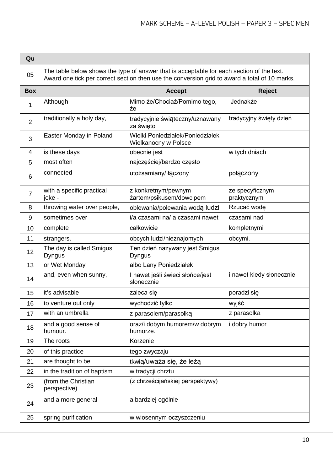| Qu             |                                                                                                                                                                                            |                                                          |                                |
|----------------|--------------------------------------------------------------------------------------------------------------------------------------------------------------------------------------------|----------------------------------------------------------|--------------------------------|
| 05             | The table below shows the type of answer that is acceptable for each section of the text.<br>Award one tick per correct section then use the conversion grid to award a total of 10 marks. |                                                          |                                |
| <b>Box</b>     |                                                                                                                                                                                            | <b>Accept</b>                                            | <b>Reject</b>                  |
| 1              | Although                                                                                                                                                                                   | Mimo że/Chociaż/Pomimo tego,<br>żе                       | Jednakże                       |
| $\overline{2}$ | traditionally a holy day,                                                                                                                                                                  | tradycyjnie świąteczny/uznawany<br>za święto             | tradycyjny święty dzień        |
| 3              | Easter Monday in Poland                                                                                                                                                                    | Wielki Poniedziałek/Poniedziałek<br>Wielkanocny w Polsce |                                |
| 4              | is these days                                                                                                                                                                              | obecnie jest                                             | w tych dniach                  |
| 5              | most often                                                                                                                                                                                 | najczęściej/bardzo często                                |                                |
| 6              | connected                                                                                                                                                                                  | utożsamiany/ łączony                                     | połączony                      |
| 7              | with a specific practical<br>joke -                                                                                                                                                        | z konkretnym/pewnym<br>żartem/psikusem/dowcipem          | ze specyficznym<br>praktycznym |
| 8              | throwing water over people,                                                                                                                                                                | oblewania/polewania wodą ludzi                           | Rzucać wodę                    |
| 9              | sometimes over                                                                                                                                                                             | i/a czasami na/ a czasami nawet                          | czasami nad                    |
| 10             | complete                                                                                                                                                                                   | całkowicie                                               | kompletnymi                    |
| 11             | strangers.                                                                                                                                                                                 | obcych ludzi/nieznajomych                                | obcymi.                        |
| 12             | The day is called Smigus<br><b>Dyngus</b>                                                                                                                                                  | Ten dzień nazywany jest Śmigus<br><b>Dyngus</b>          |                                |
| 13             | or Wet Monday                                                                                                                                                                              | albo Lany Poniedziałek                                   |                                |
| 14             | and, even when sunny,                                                                                                                                                                      | I nawet jeśli świeci słońce/jest<br>słonecznie           | i nawet kiedy słonecznie       |
| 15             | it's advisable                                                                                                                                                                             | zaleca się                                               | poradzi się                    |
| 16             | to venture out only                                                                                                                                                                        | wychodzić tylko                                          | wyjść                          |
| 17             | with an umbrella                                                                                                                                                                           | z parasolem/parasolką                                    | z parasolka                    |
| 18             | and a good sense of<br>humour.                                                                                                                                                             | oraz/i dobym humorem/w dobrym<br>humorze.                | i dobry humor                  |
| 19             | The roots                                                                                                                                                                                  | Korzenie                                                 |                                |
| 20             | of this practice                                                                                                                                                                           | tego zwyczaju                                            |                                |
| 21             | are thought to be                                                                                                                                                                          | tkwią/uważa się, że leżą                                 |                                |
| 22             | in the tradition of baptism                                                                                                                                                                | w tradycji chrztu                                        |                                |
| 23             | (from the Christian<br>perspective)                                                                                                                                                        | (z chrześcijańskiej perspektywy)                         |                                |
| 24             | and a more general                                                                                                                                                                         | a bardziej ogólnie                                       |                                |
| 25             | spring purification                                                                                                                                                                        | w wiosennym oczyszczeniu                                 |                                |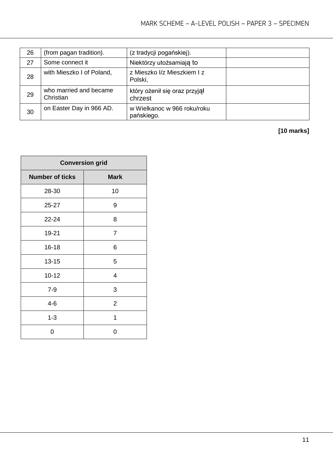| 26 | (from pagan tradition).             | (z tradycji pogańskiej).                  |  |
|----|-------------------------------------|-------------------------------------------|--|
| 27 | Some connect it                     | Niektórzy utożsamiają to                  |  |
| 28 | with Mieszko I of Poland,           | z Mieszko I/z Mieszkiem I z<br>Polski,    |  |
| 29 | who married and became<br>Christian | który ożenił się oraz przyjął<br>chrzest  |  |
| 30 | on Easter Day in 966 AD.            | w Wielkanoc w 966 roku/roku<br>pańskiego. |  |

## **[10 marks]**

| <b>Conversion grid</b> |                |  |
|------------------------|----------------|--|
| <b>Number of ticks</b> | <b>Mark</b>    |  |
| 28-30                  | 10             |  |
| 25-27                  | 9              |  |
| 22-24                  | 8              |  |
| 19-21                  | 7              |  |
| $16 - 18$              | 6              |  |
| $13 - 15$              | 5              |  |
| $10 - 12$              | 4              |  |
| $7 - 9$                | 3              |  |
| $4 - 6$                | $\overline{2}$ |  |
| $1 - 3$                | 1              |  |
| 0                      | 0              |  |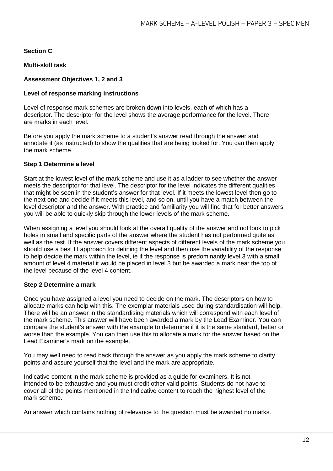#### **Section C**

#### **Multi-skill task**

#### **Assessment Objectives 1, 2 and 3**

#### **Level of response marking instructions**

Level of response mark schemes are broken down into levels, each of which has a descriptor. The descriptor for the level shows the average performance for the level. There are marks in each level.

Before you apply the mark scheme to a student's answer read through the answer and annotate it (as instructed) to show the qualities that are being looked for. You can then apply the mark scheme.

#### **Step 1 Determine a level**

Start at the lowest level of the mark scheme and use it as a ladder to see whether the answer meets the descriptor for that level. The descriptor for the level indicates the different qualities that might be seen in the student's answer for that level. If it meets the lowest level then go to the next one and decide if it meets this level, and so on, until you have a match between the level descriptor and the answer. With practice and familiarity you will find that for better answers you will be able to quickly skip through the lower levels of the mark scheme.

When assigning a level you should look at the overall quality of the answer and not look to pick holes in small and specific parts of the answer where the student has not performed quite as well as the rest. If the answer covers different aspects of different levels of the mark scheme you should use a best fit approach for defining the level and then use the variability of the response to help decide the mark within the level, ie if the response is predominantly level 3 with a small amount of level 4 material it would be placed in level 3 but be awarded a mark near the top of the level because of the level 4 content.

#### **Step 2 Determine a mark**

Once you have assigned a level you need to decide on the mark. The descriptors on how to allocate marks can help with this. The exemplar materials used during standardisation will help. There will be an answer in the standardising materials which will correspond with each level of the mark scheme. This answer will have been awarded a mark by the Lead Examiner. You can compare the student's answer with the example to determine if it is the same standard, better or worse than the example. You can then use this to allocate a mark for the answer based on the Lead Examiner's mark on the example.

You may well need to read back through the answer as you apply the mark scheme to clarify points and assure yourself that the level and the mark are appropriate.

Indicative content in the mark scheme is provided as a guide for examiners. It is not intended to be exhaustive and you must credit other valid points. Students do not have to cover all of the points mentioned in the Indicative content to reach the highest level of the mark scheme.

An answer which contains nothing of relevance to the question must be awarded no marks.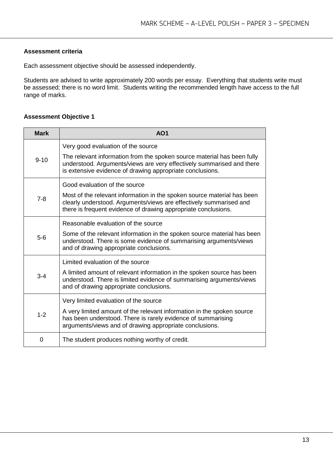#### **Assessment criteria**

Each assessment objective should be assessed independently.

Students are advised to write approximately 200 words per essay. Everything that students write must be assessed; there is no word limit. Students writing the recommended length have access to the full range of marks.

#### **Assessment Objective 1**

| <b>Mark</b> | AO <sub>1</sub>                                                                                                                                                                                                 |
|-------------|-----------------------------------------------------------------------------------------------------------------------------------------------------------------------------------------------------------------|
|             | Very good evaluation of the source                                                                                                                                                                              |
| $9 - 10$    | The relevant information from the spoken source material has been fully<br>understood. Arguments/views are very effectively summarised and there<br>is extensive evidence of drawing appropriate conclusions.   |
|             | Good evaluation of the source                                                                                                                                                                                   |
| $7 - 8$     | Most of the relevant information in the spoken source material has been<br>clearly understood. Arguments/views are effectively summarised and<br>there is frequent evidence of drawing appropriate conclusions. |
|             | Reasonable evaluation of the source                                                                                                                                                                             |
| $5-6$       | Some of the relevant information in the spoken source material has been<br>understood. There is some evidence of summarising arguments/views<br>and of drawing appropriate conclusions.                         |
|             | Limited evaluation of the source                                                                                                                                                                                |
| $3 - 4$     | A limited amount of relevant information in the spoken source has been<br>understood. There is limited evidence of summarising arguments/views<br>and of drawing appropriate conclusions.                       |
|             | Very limited evaluation of the source                                                                                                                                                                           |
| $1 - 2$     | A very limited amount of the relevant information in the spoken source<br>has been understood. There is rarely evidence of summarising<br>arguments/views and of drawing appropriate conclusions.               |
| 0           | The student produces nothing worthy of credit.                                                                                                                                                                  |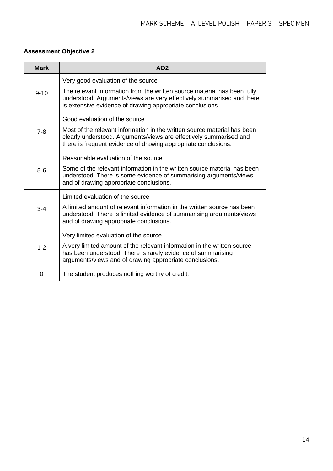#### **Assessment Objective 2**

| <b>Mark</b> | AO <sub>2</sub>                                                                                                                                                                                                  |
|-------------|------------------------------------------------------------------------------------------------------------------------------------------------------------------------------------------------------------------|
|             | Very good evaluation of the source                                                                                                                                                                               |
| $9 - 10$    | The relevant information from the written source material has been fully<br>understood. Arguments/views are very effectively summarised and there<br>is extensive evidence of drawing appropriate conclusions    |
|             | Good evaluation of the source                                                                                                                                                                                    |
| $7 - 8$     | Most of the relevant information in the written source material has been<br>clearly understood. Arguments/views are effectively summarised and<br>there is frequent evidence of drawing appropriate conclusions. |
|             | Reasonable evaluation of the source                                                                                                                                                                              |
| $5-6$       | Some of the relevant information in the written source material has been<br>understood. There is some evidence of summarising arguments/views<br>and of drawing appropriate conclusions.                         |
|             | Limited evaluation of the source                                                                                                                                                                                 |
| $3 - 4$     | A limited amount of relevant information in the written source has been<br>understood. There is limited evidence of summarising arguments/views<br>and of drawing appropriate conclusions.                       |
|             | Very limited evaluation of the source                                                                                                                                                                            |
| $1 - 2$     | A very limited amount of the relevant information in the written source<br>has been understood. There is rarely evidence of summarising<br>arguments/views and of drawing appropriate conclusions.               |
| 0           | The student produces nothing worthy of credit.                                                                                                                                                                   |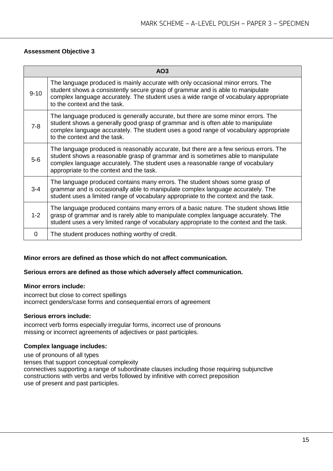#### **Assessment Objective 3**

|          | AO3                                                                                                                                                                                                                                                                                                    |
|----------|--------------------------------------------------------------------------------------------------------------------------------------------------------------------------------------------------------------------------------------------------------------------------------------------------------|
| $9 - 10$ | The language produced is mainly accurate with only occasional minor errors. The<br>student shows a consistently secure grasp of grammar and is able to manipulate<br>complex language accurately. The student uses a wide range of vocabulary appropriate<br>to the context and the task.              |
| $7 - 8$  | The language produced is generally accurate, but there are some minor errors. The<br>student shows a generally good grasp of grammar and is often able to manipulate<br>complex language accurately. The student uses a good range of vocabulary appropriate<br>to the context and the task.           |
| $5-6$    | The language produced is reasonably accurate, but there are a few serious errors. The<br>student shows a reasonable grasp of grammar and is sometimes able to manipulate<br>complex language accurately. The student uses a reasonable range of vocabulary<br>appropriate to the context and the task. |
| $3 - 4$  | The language produced contains many errors. The student shows some grasp of<br>grammar and is occasionally able to manipulate complex language accurately. The<br>student uses a limited range of vocabulary appropriate to the context and the task.                                                  |
| $1 - 2$  | The language produced contains many errors of a basic nature. The student shows little<br>grasp of grammar and is rarely able to manipulate complex language accurately. The<br>student uses a very limited range of vocabulary appropriate to the context and the task.                               |
| 0        | The student produces nothing worthy of credit.                                                                                                                                                                                                                                                         |

#### **Minor errors are defined as those which do not affect communication.**

#### **Serious errors are defined as those which adversely affect communication.**

#### **Minor errors include:**

incorrect but close to correct spellings incorrect genders/case forms and consequential errors of agreement

#### **Serious errors include:**

incorrect verb forms especially irregular forms, incorrect use of pronouns missing or incorrect agreements of adjectives or past participles.

#### **Complex language includes:**

use of pronouns of all types tenses that support conceptual complexity connectives supporting a range of subordinate clauses including those requiring subjunctive constructions with verbs and verbs followed by infinitive with correct preposition use of present and past participles.